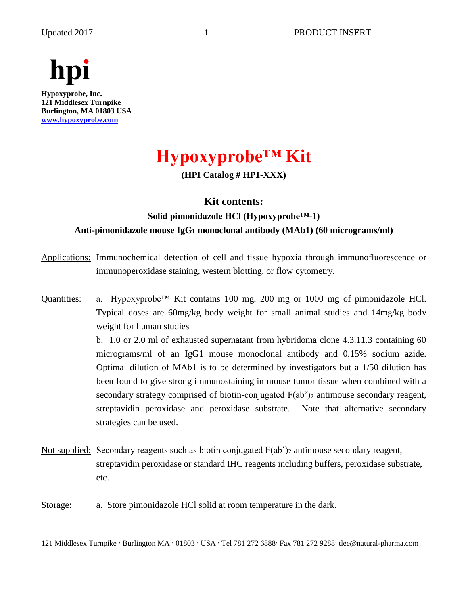

# **Hypoxyprobe™ Kit**

**(HPI Catalog # HP1-XXX)**

## **Kit contents:**

# **Solid pimonidazole HCl (Hypoxyprobe™-1) Anti-pimonidazole mouse IgG<sup>1</sup> monoclonal antibody (MAb1) (60 micrograms/ml)**

- Applications: Immunochemical detection of cell and tissue hypoxia through immunofluorescence or immunoperoxidase staining, western blotting, or flow cytometry.
- Quantities: a. Hypoxyprobe<sup>™</sup> Kit contains 100 mg, 200 mg or 1000 mg of pimonidazole HCl. Typical doses are 60mg/kg body weight for small animal studies and 14mg/kg body weight for human studies

b. 1.0 or 2.0 ml of exhausted supernatant from hybridoma clone 4.3.11.3 containing 60 micrograms/ml of an IgG1 mouse monoclonal antibody and 0.15% sodium azide. Optimal dilution of MAb1 is to be determined by investigators but a 1/50 dilution has been found to give strong immunostaining in mouse tumor tissue when combined with a secondary strategy comprised of biotin-conjugated  $F(ab')_2$  antimouse secondary reagent, streptavidin peroxidase and peroxidase substrate. Note that alternative secondary strategies can be used.

- Not supplied: Secondary reagents such as biotin conjugated  $F(ab')_2$  antimouse secondary reagent, streptavidin peroxidase or standard IHC reagents including buffers, peroxidase substrate, etc.
- Storage: a. Store pimonidazole HCl solid at room temperature in the dark.

<sup>121</sup> Middlesex Turnpike . Burlington MA . 01803 . USA . Tel 781 272 6888. Fax 781 272 9288. tlee@natural-pharma.com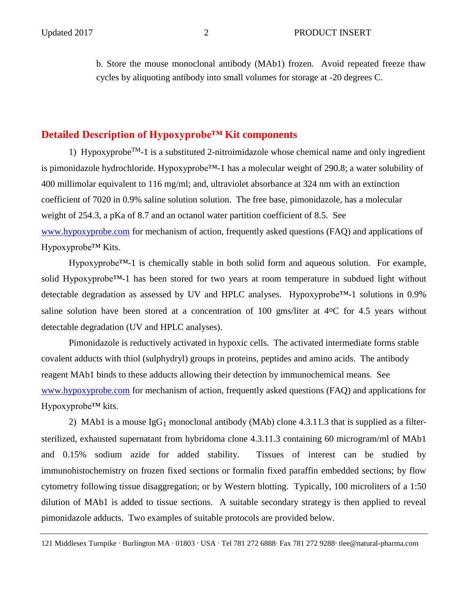b. Store the mouse monoclonal antibody (MAb1) frozen. Avoid repeated freeze thaw cycles by aliquoting antibody into small volumes for storage at -20 degrees C.

### **Detailed Description of Hypoxyprobe™ Kit components**

1) Hypoxyprobe<sup>TM</sup>-1 is a substituted 2-nitroimidazole whose chemical name and only ingredient is pimonidazole hydrochloride. Hypoxyprobe™-1 has a molecular weight of 290.8; a water solubility of 400 millimolar equivalent to 116 mg/ml; and, ultraviolet absorbance at 324 nm with an extinction coefficient of 7020 in 0.9% saline solution solution. The free base, pimonidazole, has a molecular weight of 254.3, a pKa of 8.7 and an octanol water partition coefficient of 8.5. See [www.hypoxyprobe.com](http://www.hypoxyprobe.com/) for mechanism of action, frequently asked questions (FAQ) and applications of Hypoxyprobe™ Kits.

Hypoxyprobe<sup>™-1</sup> is chemically stable in both solid form and aqueous solution. For example, solid Hypoxyprobe™-1 has been stored for two years at room temperature in subdued light without detectable degradation as assessed by UV and HPLC analyses. Hypoxyprobe™-1 solutions in 0.9% saline solution have been stored at a concentration of 100 gms/liter at 4<sup>o</sup>C for 4.5 years without detectable degradation (UV and HPLC analyses).

Pimonidazole is reductively activated in hypoxic cells. The activated intermediate forms stable covalent adducts with thiol (sulphydryl) groups in proteins, peptides and amino acids. The antibody reagent MAb1 binds to these adducts allowing their detection by immunochemical means. See [www.hypoxyprobe.com](http://www.hypoxyprobe.com/) for mechanism of action, frequently asked questions (FAQ) and applications for Hypoxyprobe™ kits.

2) MAb1 is a mouse  $I gG_1$  monoclonal antibody (MAb) clone 4.3.11.3 that is supplied as a filtersterilized, exhausted supernatant from hybridoma clone 4.3.11.3 containing 60 microgram/ml of MAb1 and 0.15% sodium azide for added stability. Tissues of interest can be studied by immunohistochemistry on frozen fixed sections or formalin fixed paraffin embedded sections; by flow cytometry following tissue disaggregation; or by Western blotting. Typically, 100 microliters of a 1:50 dilution of MAb1 is added to tissue sections. A suitable secondary strategy is then applied to reveal pimonidazole adducts. Two examples of suitable protocols are provided below.

121 Middlesex Turnpike . Burlington MA . 01803 . USA . Tel 781 272 6888. Fax 781 272 9288. tlee@natural-pharma.com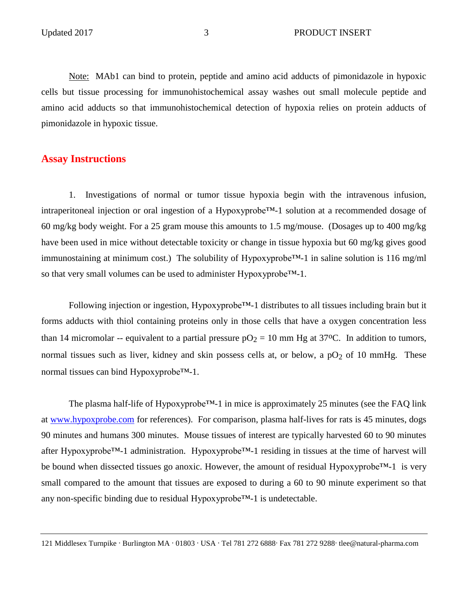Note: MAb1 can bind to protein, peptide and amino acid adducts of pimonidazole in hypoxic cells but tissue processing for immunohistochemical assay washes out small molecule peptide and amino acid adducts so that immunohistochemical detection of hypoxia relies on protein adducts of pimonidazole in hypoxic tissue.

## **Assay Instructions**

1. Investigations of normal or tumor tissue hypoxia begin with the intravenous infusion, intraperitoneal injection or oral ingestion of a Hypoxyprobe™-1 solution at a recommended dosage of 60 mg/kg body weight. For a 25 gram mouse this amounts to 1.5 mg/mouse. (Dosages up to 400 mg/kg have been used in mice without detectable toxicity or change in tissue hypoxia but 60 mg/kg gives good immunostaining at minimum cost.) The solubility of Hypoxyprobe<sup>™-1</sup> in saline solution is 116 mg/ml so that very small volumes can be used to administer Hypoxyprobe™-1.

Following injection or ingestion, Hypoxyprobe™-1 distributes to all tissues including brain but it forms adducts with thiol containing proteins only in those cells that have a oxygen concentration less than 14 micromolar -- equivalent to a partial pressure  $pO_2 = 10$  mm Hg at 37°C. In addition to tumors, normal tissues such as liver, kidney and skin possess cells at, or below, a  $pO<sub>2</sub>$  of 10 mmHg. These normal tissues can bind Hypoxyprobe™-1.

The plasma half-life of Hypoxyprobe<sup>™-1</sup> in mice is approximately 25 minutes (see the FAQ link at [www.hypoxprobe.com](http://www.hypoxprobe.com/) for references). For comparison, plasma half-lives for rats is 45 minutes, dogs 90 minutes and humans 300 minutes. Mouse tissues of interest are typically harvested 60 to 90 minutes after Hypoxyprobe™-1 administration. Hypoxyprobe™-1 residing in tissues at the time of harvest will be bound when dissected tissues go anoxic. However, the amount of residual Hypoxyprobe™-1 is very small compared to the amount that tissues are exposed to during a 60 to 90 minute experiment so that any non-specific binding due to residual Hypoxyprobe™-1 is undetectable.

<sup>121</sup> Middlesex Turnpike . Burlington MA . 01803 . USA . Tel 781 272 6888. Fax 781 272 9288. tlee@natural-pharma.com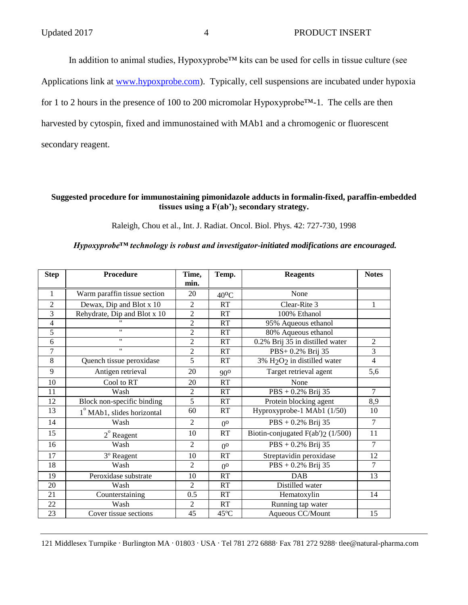In addition to animal studies, Hypoxyprobe™ kits can be used for cells in tissue culture (see Applications link at [www.hypoxprobe.com\)](http://www.hypoxprobe.com/). Typically, cell suspensions are incubated under hypoxia for 1 to 2 hours in the presence of 100 to 200 micromolar Hypoxyprobe™-1. The cells are then harvested by cytospin, fixed and immunostained with MAb1 and a chromogenic or fluorescent secondary reagent.

#### **Suggested procedure for immunostaining pimonidazole adducts in formalin-fixed, paraffin-embedded tissues using a F(ab')<sup>2</sup> secondary strategy.**

Raleigh, Chou et al., Int. J. Radiat. Oncol. Biol. Phys. 42: 727-730, 1998

#### *Hypoxyprobe™ technology is robust and investigator-initiated modifications are encouraged.*

| <b>Step</b>    | Procedure                              | Time,<br>min.  | Temp.          | <b>Reagents</b>                                     | <b>Notes</b>   |
|----------------|----------------------------------------|----------------|----------------|-----------------------------------------------------|----------------|
| 1              | Warm paraffin tissue section           | 20             | $40^{\circ}$ C | None                                                |                |
| $\overline{2}$ | Dewax, Dip and Blot x 10               | $\overline{2}$ | RT             | Clear-Rite 3                                        | 1              |
| 3              | Rehydrate, Dip and Blot x 10           | 2              | RT             | 100% Ethanol                                        |                |
| 4              |                                        | $\overline{c}$ | RT             | 95% Aqueous ethanol                                 |                |
| 5              | $^{\prime\prime}$                      | $\overline{c}$ | RT             | 80% Aqueous ethanol                                 |                |
| 6              | $\pmb{\mathsf{H}}$                     | $\overline{c}$ | RT             | 0.2% Brij 35 in distilled water                     | $\overline{c}$ |
| 7              | $\pmb{\mathsf{H}}$                     | $\overline{2}$ | RT             | PBS+0.2% Brij 35                                    | $\overline{3}$ |
| 8              | Quench tissue peroxidase               | 5              | RT             | 3% H <sub>2</sub> O <sub>2</sub> in distilled water | $\overline{4}$ |
| 9              | Antigen retrieval                      | 20             | $90^{\circ}$   | Target retrieval agent                              | 5,6            |
| 10             | Cool to RT                             | 20             | RT             | None                                                |                |
| 11             | Wash                                   | $\overline{c}$ | RT             | $PBS + 0.2\%$ Brij 35                               | $\overline{7}$ |
| 12             | Block non-specific binding             | 5              | RT             | Protein blocking agent                              | 8,9            |
| 13             | 1 <sup>°</sup> MAb1, slides horizontal | 60             | RT             | Hyproxyprobe-1 MAb1 (1/50)                          | 10             |
| 14             | Wash                                   | $\overline{2}$ | 0 <sup>o</sup> | $PBS + 0.2%$ Brij 35                                | $\tau$         |
| 15             | $2^{\circ}$ Reagent                    | 10             | <b>RT</b>      | Biotin-conjugated $F(ab')2$ (1/500)                 | 11             |
| 16             | Wash                                   | $\overline{2}$ | 0 <sup>0</sup> | $PBS + 0.2%$ Brij 35                                | $\tau$         |
| 17             | <sup>3</sup> º Reagent                 | 10             | RT             | Streptavidin peroxidase                             | 12             |
| 18             | Wash                                   | $\mathfrak{D}$ | 0 <sup>o</sup> | PBS + 0.2% Brij 35                                  | $\overline{7}$ |
| 19             | Peroxidase substrate                   | 10             | RT             | <b>DAB</b>                                          | 13             |
| 20             | Wash                                   | 2              | <b>RT</b>      | Distilled water                                     |                |
| 21             | Counterstaining                        | 0.5            | RT             | Hematoxylin                                         | 14             |
| 22             | Wash                                   | $\overline{2}$ | RT             | Running tap water                                   |                |
| 23             | Cover tissue sections                  | 45             | $45^{\circ}$ C | Aqueous CC/Mount                                    | 15             |

121 Middlesex Turnpike · Burlington MA · 01803 · USA · Tel 781 272 6888· Fax 781 272 9288· tlee@natural-pharma.com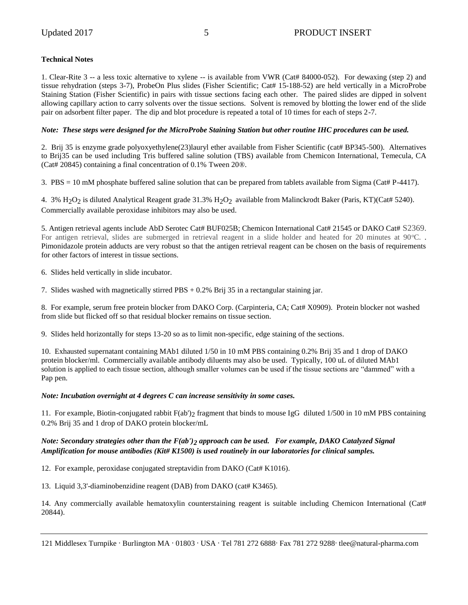#### **Technical Notes**

1. Clear-Rite 3 -- a less toxic alternative to xylene -- is available from VWR (Cat# 84000-052). For dewaxing (step 2) and tissue rehydration (steps 3-7), ProbeOn Plus slides (Fisher Scientific; Cat# 15-188-52) are held vertically in a MicroProbe Staining Station (Fisher Scientific) in pairs with tissue sections facing each other. The paired slides are dipped in solvent allowing capillary action to carry solvents over the tissue sections. Solvent is removed by blotting the lower end of the slide pair on adsorbent filter paper. The dip and blot procedure is repeated a total of 10 times for each of steps 2-7.

#### *Note: These steps were designed for the MicroProbe Staining Station but other routine IHC procedures can be used.*

2. Brij 35 is enzyme grade polyoxyethylene(23)lauryl ether available from Fisher Scientific (cat# BP345-500). Alternatives to Brij35 can be used including Tris buffered saline solution (TBS) available from Chemicon International, Temecula, CA (Cat# 20845) containing a final concentration of 0.1% Tween 20®.

3. PBS = 10 mM phosphate buffered saline solution that can be prepared from tablets available from Sigma (Cat# P-4417).

4. 3% H2O2 is diluted Analytical Reagent grade 31.3% H2O2 available from Malinckrodt Baker (Paris, KT)(Cat# 5240). Commercially available peroxidase inhibitors may also be used.

5. Antigen retrieval agents include AbD Serotec Cat# BUF025B; Chemicon International Cat# 21545 or DAKO Cat# S2369. For antigen retrieval, slides are submerged in retrieval reagent in a slide holder and heated for 20 minutes at 90 °C. Pimonidazole protein adducts are very robust so that the antigen retrieval reagent can be chosen on the basis of requirements for other factors of interest in tissue sections.

6. Slides held vertically in slide incubator.

7. Slides washed with magnetically stirred PBS + 0.2% Brij 35 in a rectangular staining jar.

8. For example, serum free protein blocker from DAKO Corp. (Carpinteria, CA; Cat# X0909). Protein blocker not washed from slide but flicked off so that residual blocker remains on tissue section.

9. Slides held horizontally for steps 13-20 so as to limit non-specific, edge staining of the sections.

10. Exhausted supernatant containing MAb1 diluted 1/50 in 10 mM PBS containing 0.2% Brij 35 and 1 drop of DAKO protein blocker/ml. Commercially available antibody diluents may also be used. Typically, 100 uL of diluted MAb1 solution is applied to each tissue section, although smaller volumes can be used if the tissue sections are "dammed" with a Pap pen.

#### *Note: Incubation overnight at 4 degrees C can increase sensitivity in some cases.*

11. For example, Biotin-conjugated rabbit  $F(ab')_2$  fragment that binds to mouse IgG diluted 1/500 in 10 mM PBS containing 0.2% Brij 35 and 1 drop of DAKO protein blocker/mL

#### *Note: Secondary strategies other than the F(ab')2 approach can be used. For example, DAKO Catalyzed Signal Amplification for mouse antibodies (Kit# K1500) is used routinely in our laboratories for clinical samples.*

12. For example, peroxidase conjugated streptavidin from DAKO (Cat# K1016).

13. Liquid 3,3'-diaminobenzidine reagent (DAB) from DAKO (cat# K3465).

14. Any commercially available hematoxylin counterstaining reagent is suitable including Chemicon International (Cat# 20844).

121 Middlesex Turnpike · Burlington MA · 01803 · USA · Tel 781 272 6888 · Fax 781 272 9288 · tlee@natural-pharma.com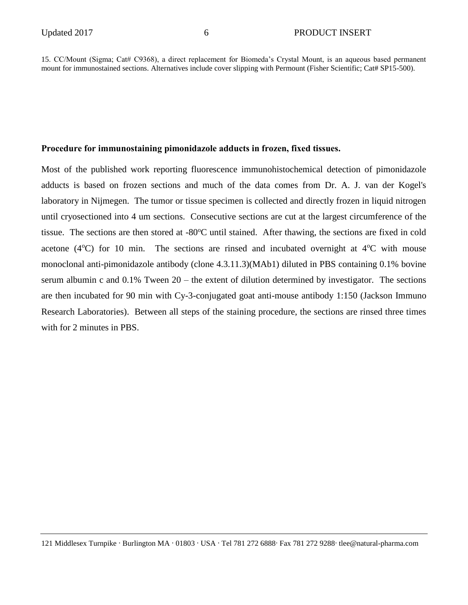15. CC/Mount (Sigma; Cat# C9368), a direct replacement for Biomeda's Crystal Mount, is an aqueous based permanent mount for immunostained sections. Alternatives include cover slipping with Permount (Fisher Scientific; Cat# SP15-500).

#### **Procedure for immunostaining pimonidazole adducts in frozen, fixed tissues.**

Most of the published work reporting fluorescence immunohistochemical detection of pimonidazole adducts is based on frozen sections and much of the data comes from Dr. A. J. van der Kogel's laboratory in Nijmegen. The tumor or tissue specimen is collected and directly frozen in liquid nitrogen until cryosectioned into 4 um sections. Consecutive sections are cut at the largest circumference of the tissue. The sections are then stored at  $-80^{\circ}$ C until stained. After thawing, the sections are fixed in cold acetone ( $4^{\circ}$ C) for 10 min. The sections are rinsed and incubated overnight at  $4^{\circ}$ C with mouse monoclonal anti-pimonidazole antibody (clone 4.3.11.3)(MAb1) diluted in PBS containing 0.1% bovine serum albumin c and 0.1% Tween 20 – the extent of dilution determined by investigator. The sections are then incubated for 90 min with Cy-3-conjugated goat anti-mouse antibody 1:150 (Jackson Immuno Research Laboratories). Between all steps of the staining procedure, the sections are rinsed three times with for 2 minutes in PBS.

<sup>121</sup> Middlesex Turnpike . Burlington MA . 01803 . USA . Tel 781 272 6888. Fax 781 272 9288. tlee@natural-pharma.com